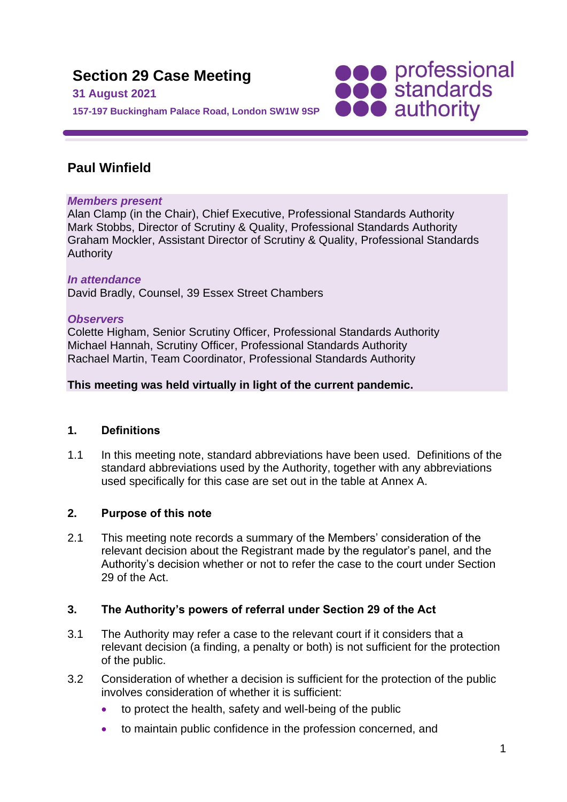**Section 29 Case Meeting 31 August 2021 157-197 Buckingham Palace Road, London SW1W 9SP**



# **Paul Winfield**

### *Members present*

Alan Clamp (in the Chair), Chief Executive, Professional Standards Authority Mark Stobbs, Director of Scrutiny & Quality, Professional Standards Authority Graham Mockler, Assistant Director of Scrutiny & Quality, Professional Standards Authority

#### *In attendance* David Bradly, Counsel, 39 Essex Street Chambers

### *Observers*

Colette Higham, Senior Scrutiny Officer, Professional Standards Authority Michael Hannah, Scrutiny Officer, Professional Standards Authority Rachael Martin, Team Coordinator, Professional Standards Authority

## **This meeting was held virtually in light of the current pandemic.**

## **1. Definitions**

1.1 In this meeting note, standard abbreviations have been used. Definitions of the standard abbreviations used by the Authority, together with any abbreviations used specifically for this case are set out in the table at Annex A.

## **2. Purpose of this note**

2.1 This meeting note records a summary of the Members' consideration of the relevant decision about the Registrant made by the regulator's panel, and the Authority's decision whether or not to refer the case to the court under Section 29 of the Act.

## **3. The Authority's powers of referral under Section 29 of the Act**

- 3.1 The Authority may refer a case to the relevant court if it considers that a relevant decision (a finding, a penalty or both) is not sufficient for the protection of the public.
- 3.2 Consideration of whether a decision is sufficient for the protection of the public involves consideration of whether it is sufficient:
	- to protect the health, safety and well-being of the public
	- to maintain public confidence in the profession concerned, and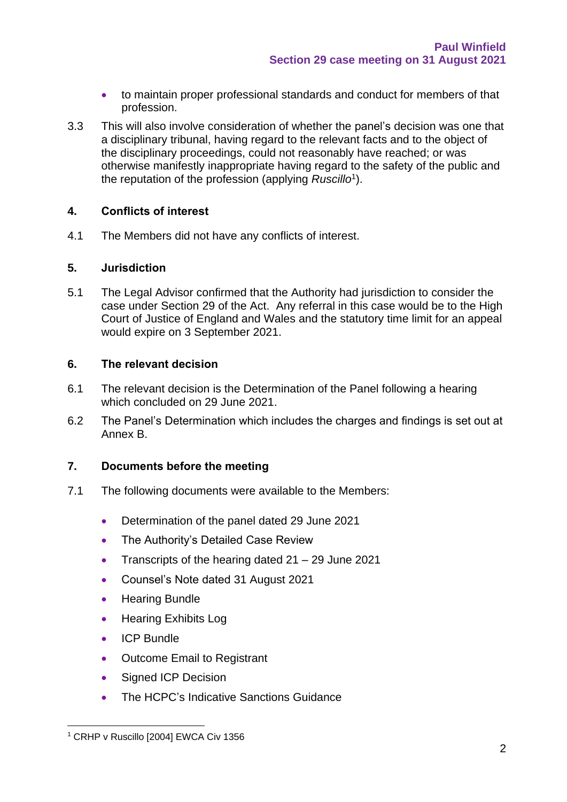- to maintain proper professional standards and conduct for members of that profession.
- 3.3 This will also involve consideration of whether the panel's decision was one that a disciplinary tribunal, having regard to the relevant facts and to the object of the disciplinary proceedings, could not reasonably have reached; or was otherwise manifestly inappropriate having regard to the safety of the public and the reputation of the profession (applying *Ruscillo*<sup>1</sup> ).

### **4. Conflicts of interest**

4.1 The Members did not have any conflicts of interest.

#### **5. Jurisdiction**

5.1 The Legal Advisor confirmed that the Authority had jurisdiction to consider the case under Section 29 of the Act. Any referral in this case would be to the High Court of Justice of England and Wales and the statutory time limit for an appeal would expire on 3 September 2021.

#### **6. The relevant decision**

- 6.1 The relevant decision is the Determination of the Panel following a hearing which concluded on 29 June 2021.
- 6.2 The Panel's Determination which includes the charges and findings is set out at Annex B.

### **7. Documents before the meeting**

- 7.1 The following documents were available to the Members:
	- Determination of the panel dated 29 June 2021
	- The Authority's Detailed Case Review
	- Transcripts of the hearing dated 21 29 June 2021
	- Counsel's Note dated 31 August 2021
	- Hearing Bundle
	- Hearing Exhibits Log
	- ICP Bundle
	- Outcome Email to Registrant
	- Signed ICP Decision
	- The HCPC's Indicative Sanctions Guidance

<sup>&</sup>lt;sup>1</sup> CRHP v Ruscillo [2004] EWCA Civ 1356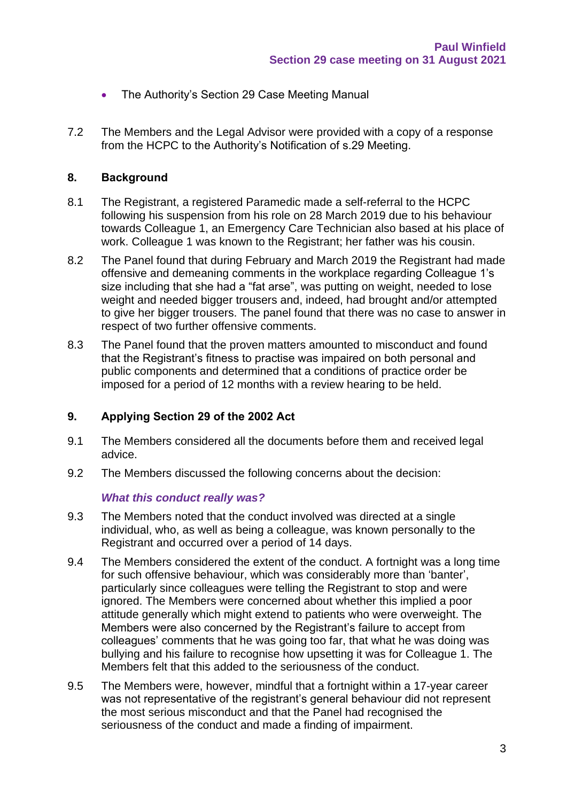- The Authority's Section 29 Case Meeting Manual
- 7.2 The Members and the Legal Advisor were provided with a copy of a response from the HCPC to the Authority's Notification of s.29 Meeting.

#### **8. Background**

- 8.1 The Registrant, a registered Paramedic made a self-referral to the HCPC following his suspension from his role on 28 March 2019 due to his behaviour towards Colleague 1, an Emergency Care Technician also based at his place of work. Colleague 1 was known to the Registrant; her father was his cousin.
- 8.2 The Panel found that during February and March 2019 the Registrant had made offensive and demeaning comments in the workplace regarding Colleague 1's size including that she had a "fat arse", was putting on weight, needed to lose weight and needed bigger trousers and, indeed, had brought and/or attempted to give her bigger trousers. The panel found that there was no case to answer in respect of two further offensive comments.
- 8.3 The Panel found that the proven matters amounted to misconduct and found that the Registrant's fitness to practise was impaired on both personal and public components and determined that a conditions of practice order be imposed for a period of 12 months with a review hearing to be held.

#### **9. Applying Section 29 of the 2002 Act**

- 9.1 The Members considered all the documents before them and received legal advice.
- 9.2 The Members discussed the following concerns about the decision:

#### *What this conduct really was?*

- 9.3 The Members noted that the conduct involved was directed at a single individual, who, as well as being a colleague, was known personally to the Registrant and occurred over a period of 14 days.
- 9.4 The Members considered the extent of the conduct. A fortnight was a long time for such offensive behaviour, which was considerably more than 'banter', particularly since colleagues were telling the Registrant to stop and were ignored. The Members were concerned about whether this implied a poor attitude generally which might extend to patients who were overweight. The Members were also concerned by the Registrant's failure to accept from colleagues' comments that he was going too far, that what he was doing was bullying and his failure to recognise how upsetting it was for Colleague 1. The Members felt that this added to the seriousness of the conduct.
- 9.5 The Members were, however, mindful that a fortnight within a 17-year career was not representative of the registrant's general behaviour did not represent the most serious misconduct and that the Panel had recognised the seriousness of the conduct and made a finding of impairment.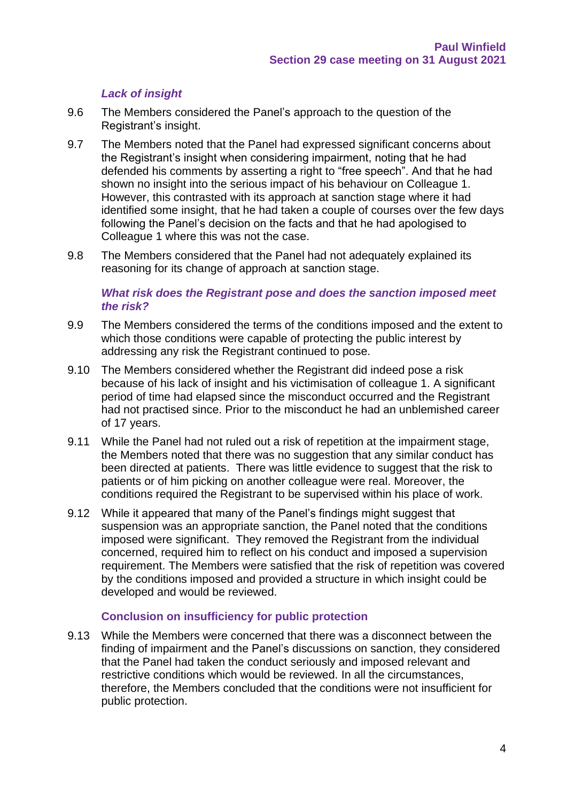### *Lack of insight*

- 9.6 The Members considered the Panel's approach to the question of the Registrant's insight.
- 9.7 The Members noted that the Panel had expressed significant concerns about the Registrant's insight when considering impairment, noting that he had defended his comments by asserting a right to "free speech". And that he had shown no insight into the serious impact of his behaviour on Colleague 1. However, this contrasted with its approach at sanction stage where it had identified some insight, that he had taken a couple of courses over the few days following the Panel's decision on the facts and that he had apologised to Colleague 1 where this was not the case.
- 9.8 The Members considered that the Panel had not adequately explained its reasoning for its change of approach at sanction stage.

#### *What risk does the Registrant pose and does the sanction imposed meet the risk?*

- 9.9 The Members considered the terms of the conditions imposed and the extent to which those conditions were capable of protecting the public interest by addressing any risk the Registrant continued to pose.
- 9.10 The Members considered whether the Registrant did indeed pose a risk because of his lack of insight and his victimisation of colleague 1. A significant period of time had elapsed since the misconduct occurred and the Registrant had not practised since. Prior to the misconduct he had an unblemished career of 17 years.
- 9.11 While the Panel had not ruled out a risk of repetition at the impairment stage, the Members noted that there was no suggestion that any similar conduct has been directed at patients. There was little evidence to suggest that the risk to patients or of him picking on another colleague were real. Moreover, the conditions required the Registrant to be supervised within his place of work.
- 9.12 While it appeared that many of the Panel's findings might suggest that suspension was an appropriate sanction, the Panel noted that the conditions imposed were significant. They removed the Registrant from the individual concerned, required him to reflect on his conduct and imposed a supervision requirement. The Members were satisfied that the risk of repetition was covered by the conditions imposed and provided a structure in which insight could be developed and would be reviewed.

#### **Conclusion on insufficiency for public protection**

9.13 While the Members were concerned that there was a disconnect between the finding of impairment and the Panel's discussions on sanction, they considered that the Panel had taken the conduct seriously and imposed relevant and restrictive conditions which would be reviewed. In all the circumstances, therefore, the Members concluded that the conditions were not insufficient for public protection.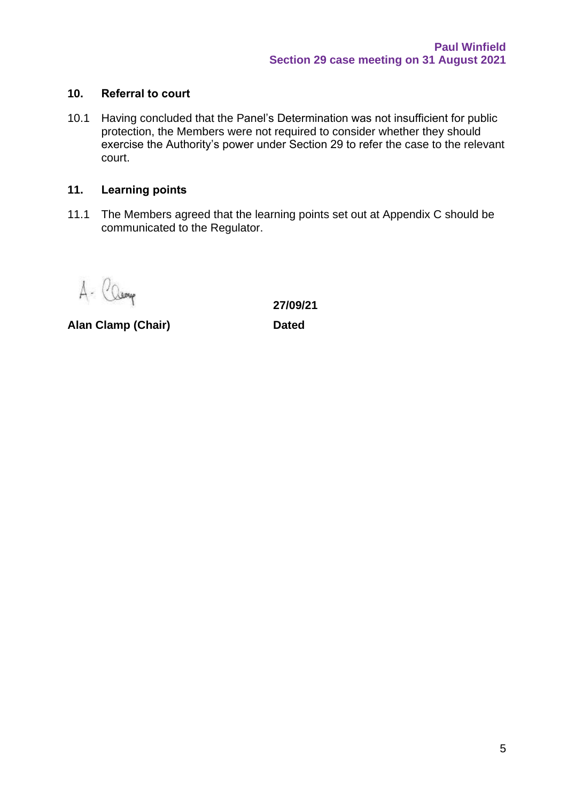#### **10. Referral to court**

10.1 Having concluded that the Panel's Determination was not insufficient for public protection, the Members were not required to consider whether they should exercise the Authority's power under Section 29 to refer the case to the relevant court.

### **11. Learning points**

11.1 The Members agreed that the learning points set out at Appendix C should be communicated to the Regulator.

A- Camp

**Alan Clamp (Chair) Dated**

**27/09/21**